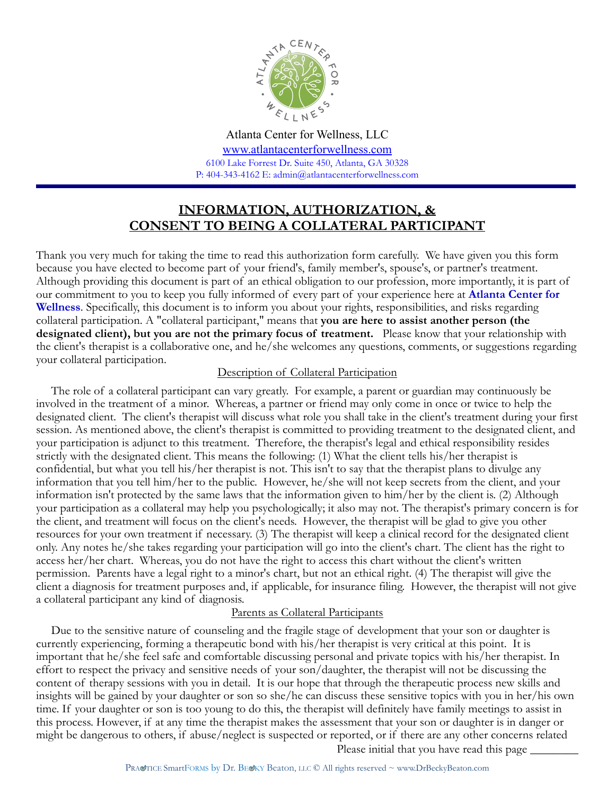

Atlanta Center for Wellness, LLC [www.atlantacenterforwellness.com](http://www.atlantacenterforwellness.com) 6100 Lake Forrest Dr. Suite 450, Atlanta, GA 30328 P: 404-343-4162 E: admin@atlantacenterforwellness.com

# **INFORMATION, AUTHORIZATION, & CONSENT TO BEING A COLLATERAL PARTICIPANT**

Thank you very much for taking the time to read this authorization form carefully. We have given you this form because you have elected to become part of your friend's, family member's, spouse's, or partner's treatment. Although providing this document is part of an ethical obligation to our profession, more importantly, it is part of our commitment to you to keep you fully informed of every part of your experience here at **Atlanta Center for Wellness**. Specifically, this document is to inform you about your rights, responsibilities, and risks regarding collateral participation. A "collateral participant," means that **you are here to assist another person (the designated client), but you are not the primary focus of treatment.** Please know that your relationship with the client's therapist is a collaborative one, and he/she welcomes any questions, comments, or suggestions regarding your collateral participation.

# Description of Collateral Participation

 The role of a collateral participant can vary greatly. For example, a parent or guardian may continuously be involved in the treatment of a minor. Whereas, a partner or friend may only come in once or twice to help the designated client. The client's therapist will discuss what role you shall take in the client's treatment during your first session. As mentioned above, the client's therapist is committed to providing treatment to the designated client, and your participation is adjunct to this treatment. Therefore, the therapist's legal and ethical responsibility resides strictly with the designated client. This means the following: (1) What the client tells his/her therapist is confidential, but what you tell his/her therapist is not. This isn't to say that the therapist plans to divulge any information that you tell him/her to the public. However, he/she will not keep secrets from the client, and your information isn't protected by the same laws that the information given to him/her by the client is. (2) Although your participation as a collateral may help you psychologically; it also may not. The therapist's primary concern is for the client, and treatment will focus on the client's needs. However, the therapist will be glad to give you other resources for your own treatment if necessary. (3) The therapist will keep a clinical record for the designated client only. Any notes he/she takes regarding your participation will go into the client's chart. The client has the right to access her/her chart. Whereas, you do not have the right to access this chart without the client's written permission. Parents have a legal right to a minor's chart, but not an ethical right. (4) The therapist will give the client a diagnosis for treatment purposes and, if applicable, for insurance filing. However, the therapist will not give a collateral participant any kind of diagnosis.

# Parents as Collateral Participants

 Due to the sensitive nature of counseling and the fragile stage of development that your son or daughter is currently experiencing, forming a therapeutic bond with his/her therapist is very critical at this point. It is important that he/she feel safe and comfortable discussing personal and private topics with his/her therapist. In effort to respect the privacy and sensitive needs of your son/daughter, the therapist will not be discussing the content of therapy sessions with you in detail. It is our hope that through the therapeutic process new skills and insights will be gained by your daughter or son so she/he can discuss these sensitive topics with you in her/his own time. If your daughter or son is too young to do this, the therapist will definitely have family meetings to assist in this process. However, if at any time the therapist makes the assessment that your son or daughter is in danger or might be dangerous to others, if abuse/neglect is suspected or reported, or if there are any other concerns related Please initial that you have read this page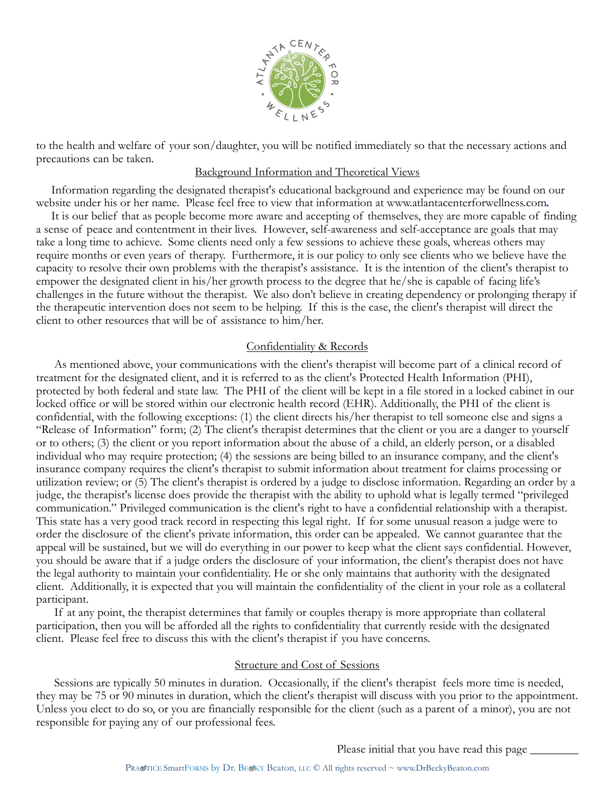

to the health and welfare of your son/daughter, you will be notified immediately so that the necessary actions and precautions can be taken.

#### Background Information and Theoretical Views

 Information regarding the designated therapist's educational background and experience may be found on our website under his or her name. Please feel free to view that information at www.atlantacenterforwellness.com*.* 

 It is our belief that as people become more aware and accepting of themselves, they are more capable of finding a sense of peace and contentment in their lives. However, self-awareness and self-acceptance are goals that may take a long time to achieve. Some clients need only a few sessions to achieve these goals, whereas others may require months or even years of therapy. Furthermore, it is our policy to only see clients who we believe have the capacity to resolve their own problems with the therapist's assistance. It is the intention of the client's therapist to empower the designated client in his/her growth process to the degree that he/she is capable of facing life's challenges in the future without the therapist. We also don't believe in creating dependency or prolonging therapy if the therapeutic intervention does not seem to be helping. If this is the case, the client's therapist will direct the client to other resources that will be of assistance to him/her.

# Confidentiality & Records

 As mentioned above, your communications with the client's therapist will become part of a clinical record of treatment for the designated client, and it is referred to as the client's Protected Health Information (PHI), protected by both federal and state law. The PHI of the client will be kept in a file stored in a locked cabinet in our locked office or will be stored within our electronic health record (EHR). Additionally, the PHI of the client is confidential, with the following exceptions: (1) the client directs his/her therapist to tell someone else and signs a "Release of Information" form; (2) The client's therapist determines that the client or you are a danger to yourself or to others; (3) the client or you report information about the abuse of a child, an elderly person, or a disabled individual who may require protection; (4) the sessions are being billed to an insurance company, and the client's insurance company requires the client's therapist to submit information about treatment for claims processing or utilization review; or (5) The client's therapist is ordered by a judge to disclose information. Regarding an order by a judge, the therapist's license does provide the therapist with the ability to uphold what is legally termed "privileged communication." Privileged communication is the client's right to have a confidential relationship with a therapist. This state has a very good track record in respecting this legal right. If for some unusual reason a judge were to order the disclosure of the client's private information, this order can be appealed. We cannot guarantee that the appeal will be sustained, but we will do everything in our power to keep what the client says confidential. However, you should be aware that if a judge orders the disclosure of your information, the client's therapist does not have the legal authority to maintain your confidentiality. He or she only maintains that authority with the designated client. Additionally, it is expected that you will maintain the confidentiality of the client in your role as a collateral participant.

 If at any point, the therapist determines that family or couples therapy is more appropriate than collateral participation, then you will be afforded all the rights to confidentiality that currently reside with the designated client. Please feel free to discuss this with the client's therapist if you have concerns.

#### Structure and Cost of Sessions

 Sessions are typically 50 minutes in duration. Occasionally, if the client's therapist feels more time is needed, they may be 75 or 90 minutes in duration, which the client's therapist will discuss with you prior to the appointment. Unless you elect to do so, or you are financially responsible for the client (such as a parent of a minor), you are not responsible for paying any of our professional fees.

Please initial that you have read this page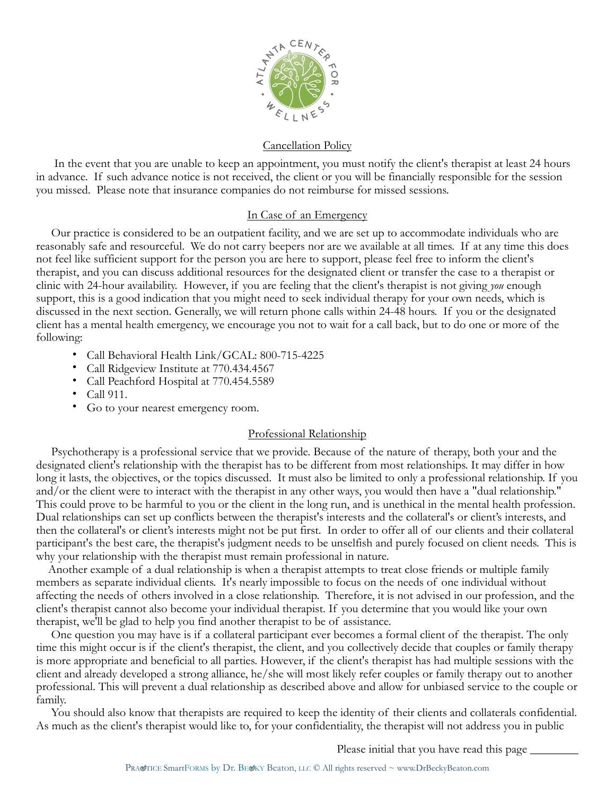

#### Cancellation Policy

 In the event that you are unable to keep an appointment, you must notify the client's therapist at least 24 hours in advance. If such advance notice is not received, the client or you will be financially responsible for the session you missed. Please note that insurance companies do not reimburse for missed sessions.

#### In Case of an Emergency

 Our practice is considered to be an outpatient facility, and we are set up to accommodate individuals who are reasonably safe and resourceful. We do not carry beepers nor are we available at all times. If at any time this does not feel like sufficient support for the person you are here to support, please feel free to inform the client's therapist, and you can discuss additional resources for the designated client or transfer the case to a therapist or clinic with 24-hour availability. However, if you are feeling that the client's therapist is not giving *you* enough support, this is a good indication that you might need to seek individual therapy for your own needs, which is discussed in the next section. Generally, we will return phone calls within 24-48 hours. If you or the designated client has a mental health emergency, we encourage you not to wait for a call back, but to do one or more of the following:

- Call Behavioral Health Link/GCAL: 800-715-4225
- Call Ridgeview Institute at 770.434.4567
- Call Peachford Hospital at 770.454.5589
- Call 911.
- Go to your nearest emergency room.

# Professional Relationship

 Psychotherapy is a professional service that we provide. Because of the nature of therapy, both your and the designated client's relationship with the therapist has to be different from most relationships. It may differ in how long it lasts, the objectives, or the topics discussed. It must also be limited to only a professional relationship. If you and/or the client were to interact with the therapist in any other ways, you would then have a "dual relationship." This could prove to be harmful to you or the client in the long run, and is unethical in the mental health profession. Dual relationships can set up conflicts between the therapist's interests and the collateral's or client's interests, and then the collateral's or client's interests might not be put first. In order to offer all of our clients and their collateral participant's the best care, the therapist's judgment needs to be unselfish and purely focused on client needs. This is why your relationship with the therapist must remain professional in nature.

 Another example of a dual relationship is when a therapist attempts to treat close friends or multiple family members as separate individual clients. It's nearly impossible to focus on the needs of one individual without affecting the needs of others involved in a close relationship. Therefore, it is not advised in our profession, and the client's therapist cannot also become your individual therapist. If you determine that you would like your own therapist, we'll be glad to help you find another therapist to be of assistance.

 One question you may have is if a collateral participant ever becomes a formal client of the therapist. The only time this might occur is if the client's therapist, the client, and you collectively decide that couples or family therapy is more appropriate and beneficial to all parties. However, if the client's therapist has had multiple sessions with the client and already developed a strong alliance, he/she will most likely refer couples or family therapy out to another professional. This will prevent a dual relationship as described above and allow for unbiased service to the couple or family.

 You should also know that therapists are required to keep the identity of their clients and collaterals confidential. As much as the client's therapist would like to, for your confidentiality, the therapist will not address you in public

Please initial that you have read this page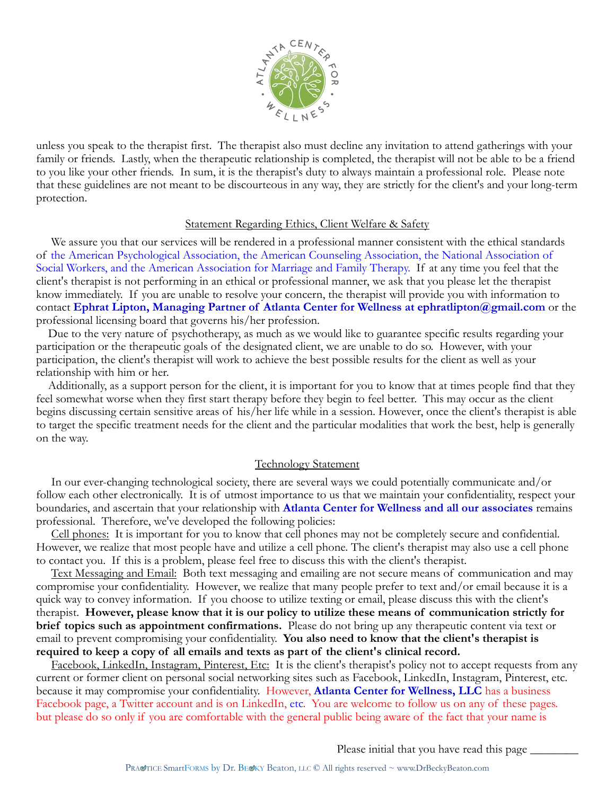

unless you speak to the therapist first. The therapist also must decline any invitation to attend gatherings with your family or friends. Lastly, when the therapeutic relationship is completed, the therapist will not be able to be a friend to you like your other friends. In sum, it is the therapist's duty to always maintain a professional role. Please note that these guidelines are not meant to be discourteous in any way, they are strictly for the client's and your long-term protection.

#### Statement Regarding Ethics, Client Welfare & Safety

 We assure you that our services will be rendered in a professional manner consistent with the ethical standards of the American Psychological Association, the American Counseling Association, the National Association of Social Workers, and the American Association for Marriage and Family Therapy. If at any time you feel that the client's therapist is not performing in an ethical or professional manner, we ask that you please let the therapist know immediately. If you are unable to resolve your concern, the therapist will provide you with information to contact **Ephrat Lipton, Managing Partner of Atlanta Center for Wellness at ephratlipton@gmail.com** or the professional licensing board that governs his/her profession.

 Due to the very nature of psychotherapy, as much as we would like to guarantee specific results regarding your participation or the therapeutic goals of the designated client, we are unable to do so. However, with your participation, the client's therapist will work to achieve the best possible results for the client as well as your relationship with him or her.

 Additionally, as a support person for the client, it is important for you to know that at times people find that they feel somewhat worse when they first start therapy before they begin to feel better. This may occur as the client begins discussing certain sensitive areas of his/her life while in a session. However, once the client's therapist is able to target the specific treatment needs for the client and the particular modalities that work the best, help is generally on the way.

#### Technology Statement

 In our ever-changing technological society, there are several ways we could potentially communicate and/or follow each other electronically. It is of utmost importance to us that we maintain your confidentiality, respect your boundaries, and ascertain that your relationship with **Atlanta Center for Wellness and all our associates** remains professional. Therefore, we've developed the following policies:

 Cell phones: It is important for you to know that cell phones may not be completely secure and confidential. However, we realize that most people have and utilize a cell phone. The client's therapist may also use a cell phone to contact you. If this is a problem, please feel free to discuss this with the client's therapist.

 Text Messaging and Email: Both text messaging and emailing are not secure means of communication and may compromise your confidentiality. However, we realize that many people prefer to text and/or email because it is a quick way to convey information. If you choose to utilize texting or email, please discuss this with the client's therapist. **However, please know that it is our policy to utilize these means of communication strictly for brief topics such as appointment confirmations.** Please do not bring up any therapeutic content via text or email to prevent compromising your confidentiality. **You also need to know that the client's therapist is required to keep a copy of all emails and texts as part of the client's clinical record.** 

 Facebook, LinkedIn, Instagram, Pinterest, Etc: It is the client's therapist's policy not to accept requests from any current or former client on personal social networking sites such as Facebook, LinkedIn, Instagram, Pinterest, etc. because it may compromise your confidentiality. However, **Atlanta Center for Wellness, LLC** has a business Facebook page, a Twitter account and is on LinkedIn, etc. You are welcome to follow us on any of these pages. but please do so only if you are comfortable with the general public being aware of the fact that your name is

Please initial that you have read this page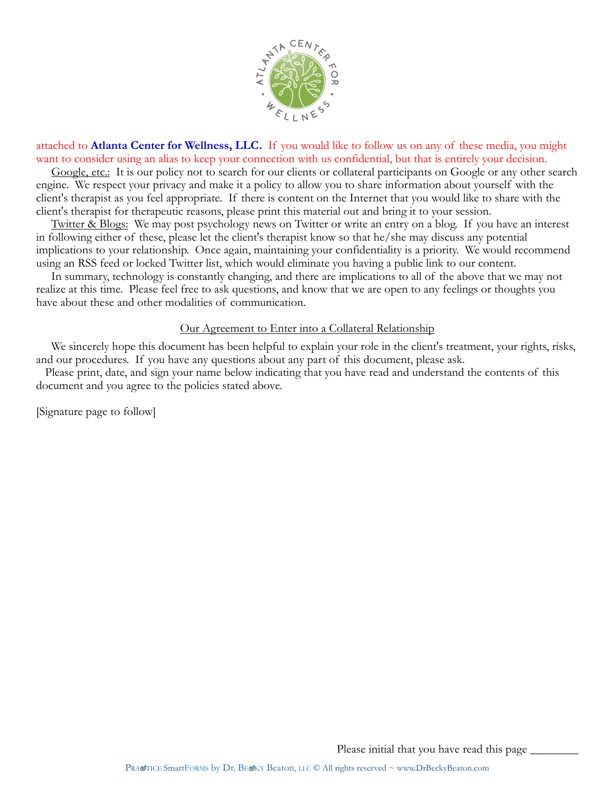

attached to **Atlanta Center for Wellness, LLC.** If you would like to follow us on any of these media, you might want to consider using an alias to keep your connection with us confidential, but that is entirely your decision.

 Google, etc.: It is our policy not to search for our clients or collateral participants on Google or any other search engine. We respect your privacy and make it a policy to allow you to share information about yourself with the client's therapist as you feel appropriate. If there is content on the Internet that you would like to share with the client's therapist for therapeutic reasons, please print this material out and bring it to your session.

 Twitter & Blogs: We may post psychology news on Twitter or write an entry on a blog. If you have an interest in following either of these, please let the client's therapist know so that he/she may discuss any potential implications to your relationship. Once again, maintaining your confidentiality is a priority. We would recommend using an RSS feed or locked Twitter list, which would eliminate you having a public link to our content.

 In summary, technology is constantly changing, and there are implications to all of the above that we may not realize at this time. Please feel free to ask questions, and know that we are open to any feelings or thoughts you have about these and other modalities of communication.

# Our Agreement to Enter into a Collateral Relationship

 We sincerely hope this document has been helpful to explain your role in the client's treatment, your rights, risks, and our procedures. If you have any questions about any part of this document, please ask.

 Please print, date, and sign your name below indicating that you have read and understand the contents of this document and you agree to the policies stated above.

[Signature page to follow]